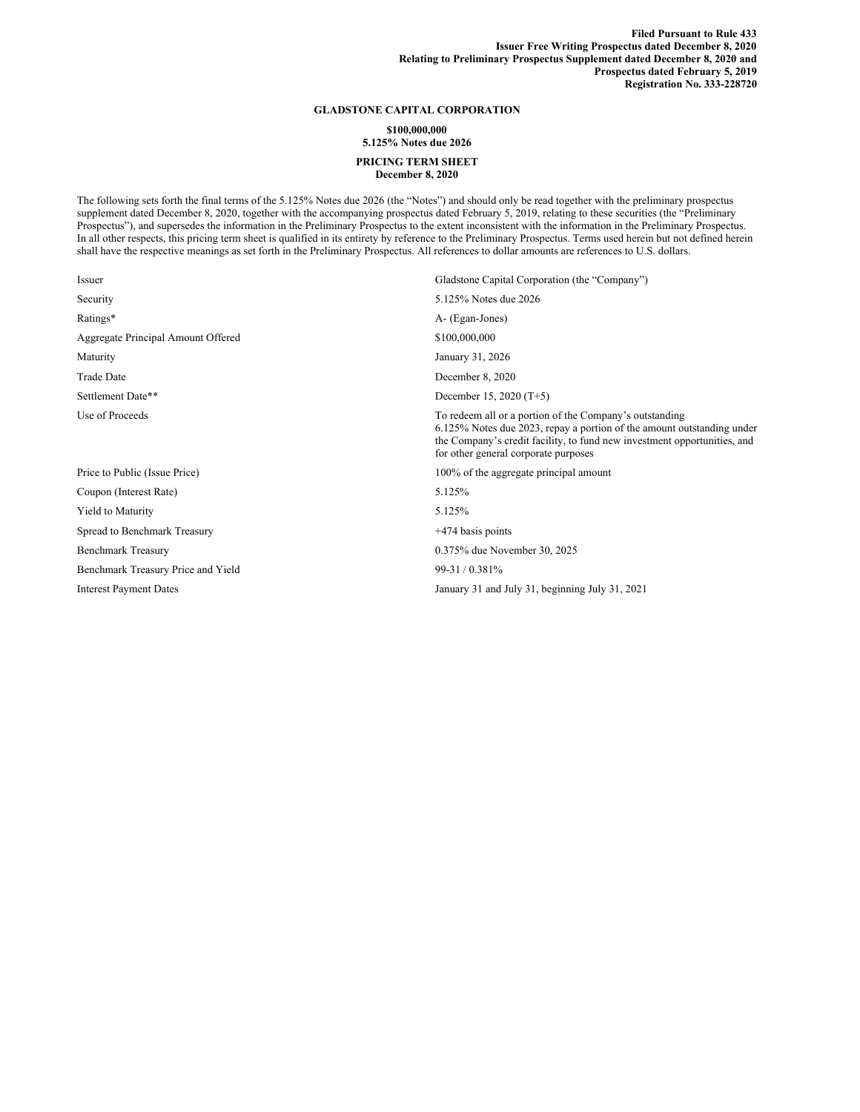## **GLADSTONE CAPITAL CORPORATION**

## **\$100,000,000 5.125% Notes due 2026 PRICING TERM SHEET**

**December 8, 2020**

The following sets forth the final terms of the 5.125% Notes due 2026 (the "Notes") and should only be read together with the preliminary prospectus supplement dated December 8, 2020, together with the accompanying prospectus dated February 5, 2019, relating to these securities (the "Preliminary Prospectus"), and supersedes the information in the Preliminary Prospectus to the extent inconsistent with the information in the Preliminary Prospectus. In all other respects, this pricing term sheet is qualified in its entirety by reference to the Preliminary Prospectus. Terms used herein but not defined herein shall have the respective meanings as set forth in the Preliminary Prospectus. All references to dollar amounts are references to U.S. dollars.

| Gladstone Capital Corporation (the "Company")                                                                                                                                                                                                         |
|-------------------------------------------------------------------------------------------------------------------------------------------------------------------------------------------------------------------------------------------------------|
| 5.125% Notes due 2026                                                                                                                                                                                                                                 |
| A- (Egan-Jones)                                                                                                                                                                                                                                       |
| \$100,000,000                                                                                                                                                                                                                                         |
| January 31, 2026                                                                                                                                                                                                                                      |
| December 8, 2020                                                                                                                                                                                                                                      |
| December 15, 2020 (T+5)                                                                                                                                                                                                                               |
| To redeem all or a portion of the Company's outstanding<br>6.125% Notes due 2023, repay a portion of the amount outstanding under<br>the Company's credit facility, to fund new investment opportunities, and<br>for other general corporate purposes |
| 100% of the aggregate principal amount                                                                                                                                                                                                                |
| 5.125%                                                                                                                                                                                                                                                |
| 5.125%                                                                                                                                                                                                                                                |
| $+474$ basis points                                                                                                                                                                                                                                   |
| 0.375% due November 30, 2025                                                                                                                                                                                                                          |
| 99-31/0.381%                                                                                                                                                                                                                                          |
| January 31 and July 31, beginning July 31, 2021                                                                                                                                                                                                       |
|                                                                                                                                                                                                                                                       |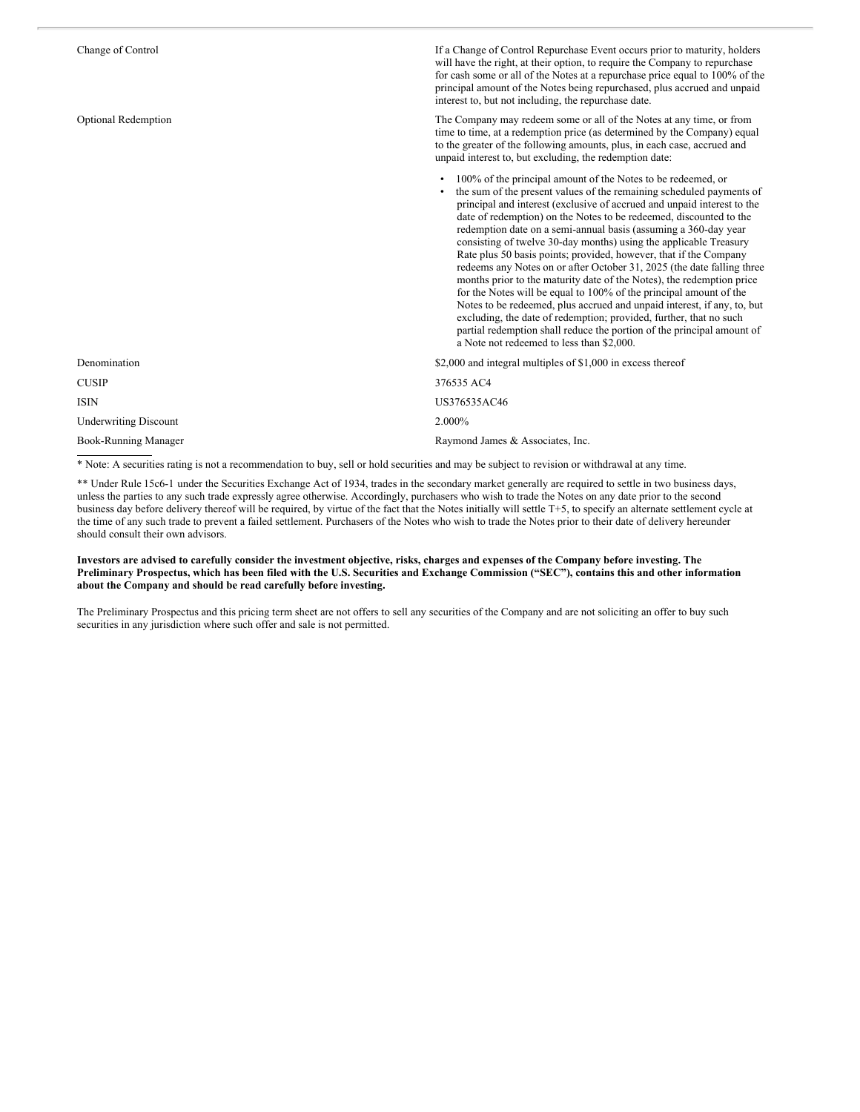| Change of Control            | If a Change of Control Repurchase Event occurs prior to maturity, holders<br>will have the right, at their option, to require the Company to repurchase<br>for cash some or all of the Notes at a repurchase price equal to 100% of the<br>principal amount of the Notes being repurchased, plus accrued and unpaid<br>interest to, but not including, the repurchase date.                                                                                                                                                                                                                                                                                                                                                                                                                                                                                                                                                                                                                         |
|------------------------------|-----------------------------------------------------------------------------------------------------------------------------------------------------------------------------------------------------------------------------------------------------------------------------------------------------------------------------------------------------------------------------------------------------------------------------------------------------------------------------------------------------------------------------------------------------------------------------------------------------------------------------------------------------------------------------------------------------------------------------------------------------------------------------------------------------------------------------------------------------------------------------------------------------------------------------------------------------------------------------------------------------|
| <b>Optional Redemption</b>   | The Company may redeem some or all of the Notes at any time, or from<br>time to time, at a redemption price (as determined by the Company) equal<br>to the greater of the following amounts, plus, in each case, accrued and<br>unpaid interest to, but excluding, the redemption date:                                                                                                                                                                                                                                                                                                                                                                                                                                                                                                                                                                                                                                                                                                             |
|                              | 100% of the principal amount of the Notes to be redeemed, or<br>the sum of the present values of the remaining scheduled payments of<br>principal and interest (exclusive of accrued and unpaid interest to the<br>date of redemption) on the Notes to be redeemed, discounted to the<br>redemption date on a semi-annual basis (assuming a 360-day year<br>consisting of twelve 30-day months) using the applicable Treasury<br>Rate plus 50 basis points; provided, however, that if the Company<br>redeems any Notes on or after October 31, 2025 (the date falling three<br>months prior to the maturity date of the Notes), the redemption price<br>for the Notes will be equal to 100% of the principal amount of the<br>Notes to be redeemed, plus accrued and unpaid interest, if any, to, but<br>excluding, the date of redemption; provided, further, that no such<br>partial redemption shall reduce the portion of the principal amount of<br>a Note not redeemed to less than \$2,000. |
| Denomination                 | \$2,000 and integral multiples of \$1,000 in excess thereof                                                                                                                                                                                                                                                                                                                                                                                                                                                                                                                                                                                                                                                                                                                                                                                                                                                                                                                                         |
| <b>CUSIP</b>                 | 376535 AC4                                                                                                                                                                                                                                                                                                                                                                                                                                                                                                                                                                                                                                                                                                                                                                                                                                                                                                                                                                                          |
| <b>ISIN</b>                  | US376535AC46                                                                                                                                                                                                                                                                                                                                                                                                                                                                                                                                                                                                                                                                                                                                                                                                                                                                                                                                                                                        |
| <b>Underwriting Discount</b> | 2.000%                                                                                                                                                                                                                                                                                                                                                                                                                                                                                                                                                                                                                                                                                                                                                                                                                                                                                                                                                                                              |
| Book-Running Manager         | Raymond James & Associates, Inc.                                                                                                                                                                                                                                                                                                                                                                                                                                                                                                                                                                                                                                                                                                                                                                                                                                                                                                                                                                    |
|                              |                                                                                                                                                                                                                                                                                                                                                                                                                                                                                                                                                                                                                                                                                                                                                                                                                                                                                                                                                                                                     |

\* Note: A securities rating is not a recommendation to buy, sell or hold securities and may be subject to revision or withdrawal at any time.

\*\* Under Rule 15c6-1 under the Securities Exchange Act of 1934, trades in the secondary market generally are required to settle in two business days, unless the parties to any such trade expressly agree otherwise. Accordingly, purchasers who wish to trade the Notes on any date prior to the second business day before delivery thereof will be required, by virtue of the fact that the Notes initially will settle T+5, to specify an alternate settlement cycle at the time of any such trade to prevent a failed settlement. Purchasers of the Notes who wish to trade the Notes prior to their date of delivery hereunder should consult their own advisors.

## Investors are advised to carefully consider the investment objective, risks, charges and expenses of the Company before investing. The Preliminary Prospectus, which has been filed with the U.S. Securities and Exchange Commission ("SEC"), contains this and other information **about the Company and should be read carefully before investing.**

The Preliminary Prospectus and this pricing term sheet are not offers to sell any securities of the Company and are not soliciting an offer to buy such securities in any jurisdiction where such offer and sale is not permitted.